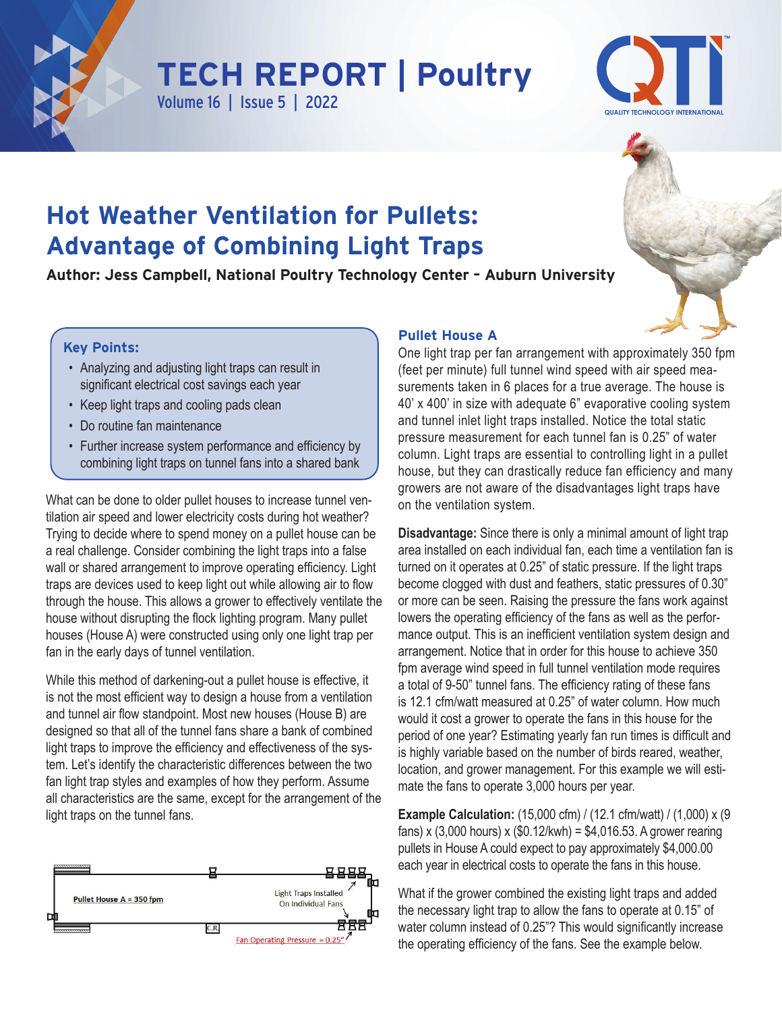

## **TECH REPORT | Poultry Volume 16 | Issue 5 | 2022**



# **Hot Weather Ventilation for Pullets: Advantage of Combining Light Traps**

**Author: Jess Campbell, National Poultry Technology Center – Auburn University**

### **Key Points:**

- Analyzing and adjusting light traps can result in significant electrical cost savings each year
- Keep light traps and cooling pads clean
- Do routine fan maintenance
- Further increase system performance and efficiency by combining light traps on tunnel fans into a shared bank

What can be done to older pullet houses to increase tunnel ventilation air speed and lower electricity costs during hot weather? Trying to decide where to spend money on a pullet house can be a real challenge. Consider combining the light traps into a false wall or shared arrangement to improve operating efficiency. Light traps are devices used to keep light out while allowing air to flow through the house. This allows a grower to effectively ventilate the house without disrupting the flock lighting program. Many pullet houses (House A) were constructed using only one light trap per fan in the early days of tunnel ventilation.

While this method of darkening-out a pullet house is effective, it is not the most efficient way to design a house from a ventilation and tunnel air flow standpoint. Most new houses (House B) are designed so that all of the tunnel fans share a bank of combined light traps to improve the efficiency and effectiveness of the system. Let's identify the characteristic differences between the two fan light trap styles and examples of how they perform. Assume all characteristics are the same, except for the arrangement of the light traps on the tunnel fans.



#### **Pullet House A**

One light trap per fan arrangement with approximately 350 fpm (feet per minute) full tunnel wind speed with air speed measurements taken in 6 places for a true average. The house is 40' x 400' in size with adequate 6" evaporative cooling system and tunnel inlet light traps installed. Notice the total static pressure measurement for each tunnel fan is 0.25" of water column. Light traps are essential to controlling light in a pullet house, but they can drastically reduce fan efficiency and many growers are not aware of the disadvantages light traps have on the ventilation system.

**Disadvantage:** Since there is only a minimal amount of light trap area installed on each individual fan, each time a ventilation fan is turned on it operates at 0.25" of static pressure. If the light traps become clogged with dust and feathers, static pressures of 0.30" or more can be seen. Raising the pressure the fans work against lowers the operating efficiency of the fans as well as the performance output. This is an inefficient ventilation system design and arrangement. Notice that in order for this house to achieve 350 fpm average wind speed in full tunnel ventilation mode requires a total of 9-50" tunnel fans. The efficiency rating of these fans is 12.1 cfm/watt measured at 0.25" of water column. How much would it cost a grower to operate the fans in this house for the period of one year? Estimating yearly fan run times is difficult and is highly variable based on the number of birds reared, weather, location, and grower management. For this example we will estimate the fans to operate 3,000 hours per year.

**Example Calculation:** (15,000 cfm) / (12.1 cfm/watt) / (1,000) x (9 fans) x (3,000 hours) x (\$0.12/kwh) = \$4,016.53. A grower rearing pullets in House A could expect to pay approximately \$4,000.00 each year in electrical costs to operate the fans in this house.

What if the grower combined the existing light traps and added the necessary light trap to allow the fans to operate at 0.15" of water column instead of 0.25"? This would significantly increase the operating efficiency of the fans. See the example below.